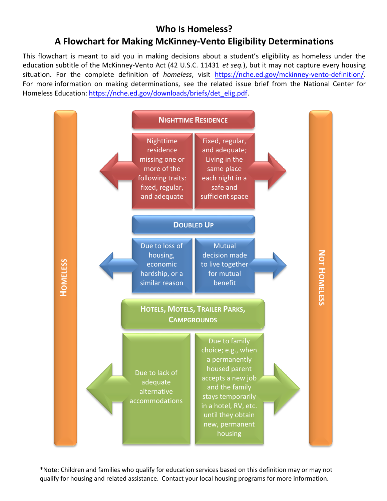## **Who Is Homeless? A Flowchart for Making McKinney-Vento Eligibility Determinations**

This flowchart is meant to aid you in making decisions about a student's eligibility as homeless under the education subtitle of the McKinney-Vento Act (42 U.S.C. 11431 *et seq.*), but it may not capture every housing situation. For the complete definition of *homeless*, visit [https://nche.ed.gov/mckinney-vento-definition/](https://nche.ed.gov/legis/mv-def.php). For more information on making determinations, see the related issue brief from the National Center for Homeless [Education: https://nche.ed.gov/downloads/briefs/de](https://nche.ed.gov/downloads/briefs/det_elig.pdf)t\_elig.pdf.



\*Note: Children and families who qualify for education services based on this definition may or may not qualify for housing and related assistance. Contact your local housing programs for more information.